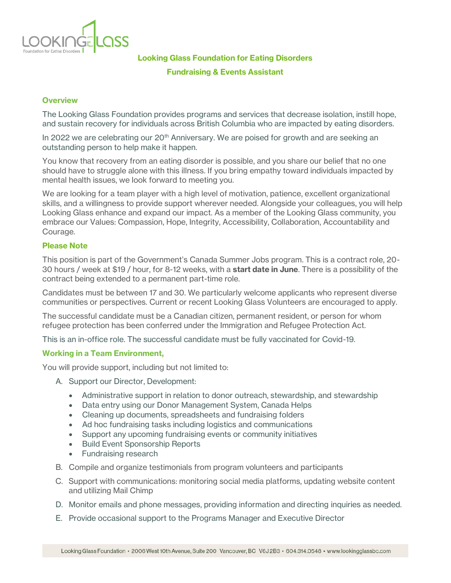

**Looking Glass Foundation for Eating Disorders**

#### **Fundraising & Events Assistant**

### **Overview**

The Looking Glass Foundation provides programs and services that decrease isolation, instill hope, and sustain recovery for individuals across British Columbia who are impacted by eating disorders.

In 2022 we are celebrating our  $20<sup>th</sup>$  Anniversary. We are poised for growth and are seeking an outstanding person to help make it happen.

You know that recovery from an eating disorder is possible, and you share our belief that no one should have to struggle alone with this illness. If you bring empathy toward individuals impacted by mental health issues, we look forward to meeting you.

We are looking for a team player with a high level of motivation, patience, excellent organizational skills, and a willingness to provide support wherever needed. Alongside your colleagues, you will help Looking Glass enhance and expand our impact. As a member of the Looking Glass community, you embrace our Values: Compassion, Hope, Integrity, Accessibility, Collaboration, Accountability and Courage.

### **Please Note**

This position is part of the Government's Canada Summer Jobs program. This is a contract role, 20- 30 hours / week at \$19 / hour, for 8-12 weeks, with a **start date in June**. There is a possibility of the contract being extended to a permanent part-time role.

Candidates must be between 17 and 30. We particularly welcome applicants who represent diverse communities or perspectives. Current or recent Looking Glass Volunteers are encouraged to apply.

The successful candidate must be a Canadian citizen, permanent resident, or person for whom refugee protection has been conferred under the Immigration and Refugee Protection Act.

This is an in-office role. The successful candidate must be fully vaccinated for Covid-19.

### **Working in a Team Environment,**

You will provide support, including but not limited to:

- A. Support our Director, Development:
	- Administrative support in relation to donor outreach, stewardship, and stewardship
	- Data entry using our Donor Management System, Canada Helps
	- Cleaning up documents, spreadsheets and fundraising folders
	- Ad hoc fundraising tasks including logistics and communications
	- Support any upcoming fundraising events or community initiatives
	- Build Event Sponsorship Reports
	- Fundraising research
- B. Compile and organize testimonials from program volunteers and participants
- C. Support with communications: monitoring social media platforms, updating website content and utilizing Mail Chimp
- D. Monitor emails and phone messages, providing information and directing inquiries as needed.
- E. Provide occasional support to the Programs Manager and Executive Director